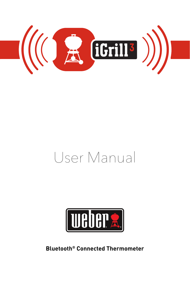

# User Manual



**Bluetooth® Connected Thermometer**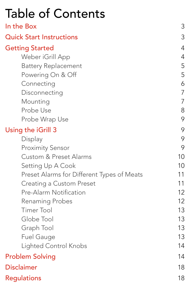| <b>Table of Contents</b> |  |
|--------------------------|--|
|--------------------------|--|

| In the Box                                 | 3              |
|--------------------------------------------|----------------|
| <b>Quick Start Instructions</b>            | 3              |
| <b>Getting Started</b>                     | $\overline{4}$ |
| Weber iGrill App                           | $\overline{4}$ |
| <b>Battery Replacement</b>                 | 5              |
| Powering On & Off                          | 5              |
| Connecting                                 | 6              |
| Disconnecting                              | $\overline{7}$ |
| Mounting                                   | $\overline{7}$ |
| Probe Use                                  | 8              |
| Probe Wrap Use                             | 9              |
| Using the iGrill 3                         | 9              |
| Display                                    | 9              |
| <b>Proximity Sensor</b>                    | 9              |
| <b>Custom &amp; Preset Alarms</b>          | 10             |
| Setting Up A Cook                          | 10             |
| Preset Alarms for Different Types of Meats | 11             |
| <b>Creating a Custom Preset</b>            | 11             |
| <b>Pre-Alarm Notification</b>              | 12             |
| <b>Renaming Probes</b>                     | 12             |
| <b>Timer Tool</b>                          | 13             |
| Globe Tool                                 | 13             |
| Graph Tool                                 | 13             |
| <b>Fuel Gauge</b>                          | 13             |
| <b>Lighted Control Knobs</b>               | 14             |
| <b>Problem Solving</b>                     | 14             |
| <b>Disclaimer</b>                          | 18             |
| <b>Regulations</b>                         | 18             |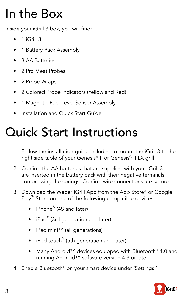# In the Box

Inside your iGrill 3 box, you will find:

- $\bullet$  1 iGrill 3
- 1 Battery Pack Assembly
- 3 AA Batteries
- 2 Pro Meat Probes
- 2 Probe Wraps
- 2 Colored Probe Indicators (Yellow and Red)
- 1 Magnetic Fuel Level Sensor Assembly
- Installation and Quick Start Guide

# Quick Start Instructions

- 1. Follow the installation guide included to mount the iGrill 3 to the right side table of your Genesis® II or Genesis® II LX grill.
- 2. Confirm the AA batteries that are supplied with your iGrill 3 are inserted in the battery pack with their negative terminals compressing the springs. Confirm wire connections are secure.
- 3. Download the Weber iGrill App from the App Store® or Google Play<sup>™</sup> Store on one of the following compatible devices:
	- iPhone<sup>®</sup> (4S and later)
	- iPad® (3rd generation and later)
	- iPad mini™ (all generations)
	- iPod touch® (5th generation and later)
	- Many Android™ devices equipped with Bluetooth® 4.0 and running Android™ software version 4.3 or later
- 4. Enable Bluetooth® on your smart device under 'Settings.'

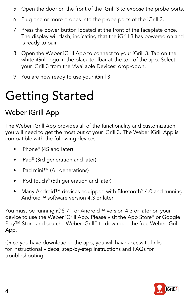- 5. Open the door on the front of the iGrill 3 to expose the probe ports.
- 6. Plug one or more probes into the probe ports of the iGrill 3.
- 7. Press the power button located at the front of the faceplate once. The display will flash, indicating that the iGrill 3 has powered on and is ready to pair.
- 8. Open the Weber iGrill App to connect to your iGrill 3. Tap on the white iGrill logo in the black toolbar at the top of the app. Select your iGrill 3 from the 'Available Devices' drop-down.
- 9. You are now ready to use your iGrill 3!

# Getting Started

# Weber iGrill App

The Weber iGrill App provides all of the functionality and customization you will need to get the most out of your iGrill 3. The Weber iGrill App is compatible with the following devices:

- iPhone<sup>®</sup> (4S and later)
- iPad® (3rd generation and later)
- iPad mini™ (All generations)
- iPod touch® (5th generation and later)
- Many Android™ devices equipped with Bluetooth® 4.0 and running Android™ software version 4.3 or later

You must be running iOS 7+ or Android™ version 4.3 or later on your device to use the Weber iGrill App. Please visit the App Store® or Google Play™ Store and search "Weber iGrill" to download the free Weber iGrill App.

Once you have downloaded the app, you will have access to links for instructional videos, step-by-step instructions and FAQs for troubleshooting.

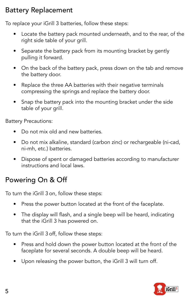## Battery Replacement

To replace your iGrill 3 batteries, follow these steps:

- Locate the battery pack mounted underneath, and to the rear, of the right side table of your grill.
- Separate the battery pack from its mounting bracket by gently pulling it forward.
- On the back of the battery pack, press down on the tab and remove the battery door.
- Replace the three AA batteries with their negative terminals compressing the springs and replace the battery door.
- Snap the battery pack into the mounting bracket under the side table of your grill.

Battery Precautions:

- Do not mix old and new batteries.
- Do not mix alkaline, standard (carbon zinc) or rechargeable (ni-cad, ni-mh, etc.) batteries.
- Dispose of spent or damaged batteries according to manufacturer instructions and local laws.

# Powering On & Off

To turn the iGrill 3 on, follow these steps:

- Press the power button located at the front of the faceplate.
- The display will flash, and a single beep will be heard, indicating that the iGrill 3 has powered on.

To turn the iGrill 3 off, follow these steps:

- Press and hold down the power button located at the front of the faceplate for several seconds. A double beep will be heard.
- Upon releasing the power button, the iGrill 3 will turn off.

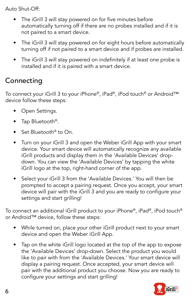Auto Shut-Off:

- The iGrill 3 will stay powered on for five minutes before automatically turning off if there are no probes installed and if it is not paired to a smart device.
- The iGrill 3 will stay powered on for eight hours before automatically turning off if not paired to a smart device and if probes are installed.
- The iGrill 3 will stay powered on indefinitely if at least one probe is installed and if it is paired with a smart device.

## **Connecting**

To connect your iGrill 3 to your iPhone®, iPad®, iPod touch® or Android™ device follow these steps:

- Open Settings.
- Tap Bluetooth<sup>®</sup>.
- Set Bluetooth® to On.
- Turn on your iGrill 3 and open the Weber iGrill App with your smart device. Your smart device will automatically recognize any available iGrill products and display them in the 'Available Devices' dropdown. You can view the 'Available Devices' by tapping the white iGrill logo at the top, right-hand corner of the app.
- Select your iGrill 3 from the 'Available Devices.' You will then be prompted to accept a pairing request. Once you accept, your smart device will pair with the iGrill 3 and you are ready to configure your settings and start grilling!

To connect an additional iGrill product to your iPhone®, iPad®, iPod touch® or Android™ device, follow these steps:

- While turned on, place your other iGrill product next to your smart device and open the Weber iGrill App.
- Tap on the white iGrill logo located at the top of the app to expose the 'Available Devices' drop-down. Select the product you would like to pair with from the 'Available Devices.' Your smart device will display a pairing request. Once accepted, your smart device will pair with the additional product you choose. Now you are ready to configure your settings and start grilling!

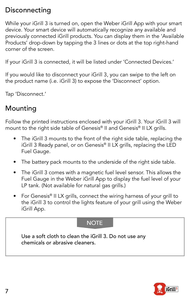## **Disconnecting**

While your iGrill 3 is turned on, open the Weber iGrill App with your smart device. Your smart device will automatically recognize any available and previously connected iGrill products. You can display them in the 'Available Products' drop-down by tapping the 3 lines or dots at the top right-hand corner of the screen.

If your iGrill 3 is connected, it will be listed under 'Connected Devices.'

If you would like to disconnect your iGrill 3, you can swipe to the left on the product name (i.e. iGrill 3) to expose the 'Disconnect' option.

Tap 'Disconnect.'

## Mounting

Follow the printed instructions enclosed with your iGrill 3. Your iGrill 3 will mount to the right side table of Genesis® II and Genesis® II LX grills.

- The iGrill 3 mounts to the front of the right side table, replacing the iGrill 3 Ready panel, or on Genesis® II LX grills, replacing the LED Fuel Gauge.
- The battery pack mounts to the underside of the right side table.
- The iGrill 3 comes with a magnetic fuel level sensor. This allows the Fuel Gauge in the Weber iGrill App to display the fuel level of your LP tank. (Not available for natural gas grills.)
- For Genesis® II LX grills, connect the wiring harness of your grill to the iGrill 3 to control the lights feature of your grill using the Weber iGrill App.

### **NOTE**

Use a soft cloth to clean the iGrill 3. Do not use any chemicals or abrasive cleaners.

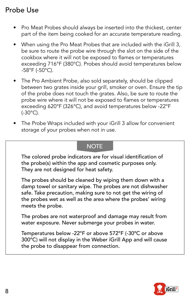## Probe Use

- Pro Meat Probes should always be inserted into the thickest, center part of the item being cooked for an accurate temperature reading.
- When using the Pro Meat Probes that are included with the iGrill 3, be sure to route the probe wire through the slot on the side of the cookbox where it will not be exposed to flames or temperatures exceeding 716°F (380°C). Probes should avoid temperatures below -58°F (-50°C).
- The Pro Ambient Probe, also sold separately, should be clipped between two grates inside your grill, smoker or oven. Ensure the tip of the probe does not touch the grates. Also, be sure to route the probe wire where it will not be exposed to flames or temperatures exceeding 620°F (326°C), and avoid temperatures below -22°F (-30°C).
- The Probe Wraps included with your iGrill 3 allow for convenient storage of your probes when not in use.

### **NOTE**

The colored probe indicators are for visual identification of the probe(s) within the app and cosmetic purposes only. They are not designed for heat safety.

The probes should be cleaned by wiping them down with a damp towel or sanitary wipe. The probes are not dishwasher safe. Take precaution, making sure to not get the wiring of the probes wet as well as the area where the probes' wiring meets the probe.

The probes are not waterproof and damage may result from water exposure. Never submerge your probes in water.

Temperatures below -22°F or above 572°F (-30ºC or above 300ºC) will not display in the Weber iGrill App and will cause the probe to disappear from connection.

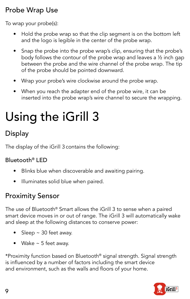## Probe Wrap Use

To wrap your probe(s):

- Hold the probe wrap so that the clip segment is on the bottom left and the logo is legible in the center of the probe wrap.
- Snap the probe into the probe wrap's clip, ensuring that the probe's body follows the contour of the probe wrap and leaves a ½ inch gap between the probe and the wire channel of the probe wrap. The tip of the probe should be pointed downward.
- Wrap your probe's wire clockwise around the probe wrap.
- When you reach the adapter end of the probe wire, it can be inserted into the probe wrap's wire channel to secure the wrapping.

# Using the iGrill 3

# **Display**

The display of the iGrill 3 contains the following:

## Bluetooth® LED

- Blinks blue when discoverable and awaiting pairing.
- Illuminates solid blue when paired.

## Proximity Sensor

The use of Bluetooth® Smart allows the iGrill 3 to sense when a paired smart device moves in or out of range. The iGrill 3 will automatically wake and sleep at the following distances to conserve power:

- Sleep  $\sim$  30 feet away.
- Wake  $\sim$  5 feet away.

\*Proximity function based on Bluetooth® signal strength. Signal strength is influenced by a number of factors including the smart device and environment, such as the walls and floors of your home.

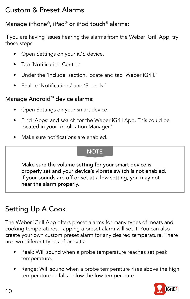## Custom & Preset Alarms

## Manage iPhone®, iPad® or iPod touch® alarms:

If you are having issues hearing the alarms from the Weber iGrill App, try these steps:

- Open Settings on your iOS device.
- Tap 'Notification Center.'
- Under the 'Include' section, locate and tap 'Weber iGrill.'
- Enable 'Notifications' and 'Sounds.'

### Manage Android™ device alarms:

- Open Settings on your smart device.
- Find 'Apps' and search for the Weber iGrill App. This could be located in your 'Application Manager.'.
- Make sure notifications are enabled.

### **NOTE**

Make sure the volume setting for your smart device is properly set and your device's vibrate switch is not enabled. If your sounds are off or set at a low setting, you may not hear the alarm properly.

# Setting Up A Cook

The Weber iGrill App offers preset alarms for many types of meats and cooking temperatures. Tapping a preset alarm will set it. You can also create your own custom preset alarm for any desired temperature. There are two different types of presets:

- Peak: Will sound when a probe temperature reaches set peak temperature.
- Range: Will sound when a probe temperature rises above the high temperature or falls below the low temperature.

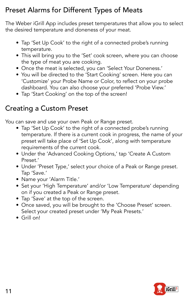# Preset Alarms for Different Types of Meats

The Weber iGrill App includes preset temperatures that allow you to select the desired temperature and doneness of your meat.

- Tap 'Set Up Cook' to the right of a connected probe's running temperature.
- This will bring you to the 'Set' cook screen, where you can choose the type of meat you are cooking.
- Once the meat is selected, you can 'Select Your Doneness.'
- You will be directed to the 'Start Cooking' screen. Here you can 'Customize' your Probe Name or Color, to reflect on your probe dashboard. You can also choose your preferred 'Probe View.'
- Tap 'Start Cooking' on the top of the screen!

## Creating a Custom Preset

You can save and use your own Peak or Range preset.

- Tap 'Set Up Cook' to the right of a connected probe's running temperature. If there is a current cook in progress, the name of your preset will take place of 'Set Up Cook', along with temperature requirements of the current cook.
- Under the 'Advanced Cooking Options,' tap 'Create A Custom Preset.'
- Under 'Preset Type,' select your choice of a Peak or Range preset. Tap 'Save.'
- Name your 'Alarm Title.'
- Set your 'High Temperature' and/or 'Low Temperature' depending on if you created a Peak or Range preset.
- Tap 'Save' at the top of the screen.
- Once saved, you will be brought to the 'Choose Preset' screen. Select your created preset under 'My Peak Presets.'
- Grill on!

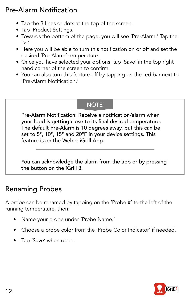## Pre-Alarm Notification

- Tap the 3 lines or dots at the top of the screen.
- Tap 'Product Settings.'
- Towards the bottom of the page, you will see 'Pre-Alarm.' Tap the  $'>'$ .
- Here you will be able to turn this notification on or off and set the desired 'Pre-Alarm' temperature.
- Once you have selected your options, tap 'Save' in the top right hand corner of the screen to confirm.
- You can also turn this feature off by tapping on the red bar next to 'Pre-Alarm Notification.'

## **NOTE**

Pre-Alarm Notification: Receive a notification/alarm when your food is getting close to its final desired temperature. The default Pre-Alarm is 10 degrees away, but this can be set to 5°, 10°, 15° and 20°F in your device settings. This feature is on the Weber iGrill App.

You can acknowledge the alarm from the app or by pressing the button on the iGrill 3.

## Renaming Probes

A probe can be renamed by tapping on the 'Probe #' to the left of the running temperature, then:

- Name your probe under 'Probe Name.'
- Choose a probe color from the 'Probe Color Indicator' if needed.
- Tap 'Save' when done.

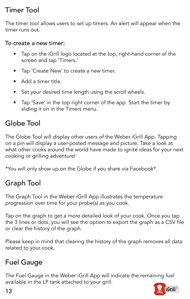## Timer Tool

The timer tool allows users to set up timers. An alert will appear when the timer runs out.

### To create a new timer:

- Tap on the iGrill logo located at the top, right-hand corner of the screen and tap 'Timers.'
- Tap 'Create New' to create a new timer.
- Add a timer title.
- Set your desired time length using the scroll wheels.
- Tap 'Save' in the top right corner of the app. Start the timer by sliding it on in the Timers menu.

# Globe Tool

The Globe Tool will display other users of the Weber iGrill App. Tapping on a pin will display a user-posted message and picture. Take a look at what other cooks around the world have made to ignite ideas for your next cooking or grilling adventure!

\*You will only show up on the Globe if you share via Facebook®.

# Graph Tool

The Graph Tool in the Weber iGrill App illustrates the temperature progression over time for your probe(s) as you cook.

Tap on the graph to get a more detailed look of your cook. Once you tap the 3 lines or dots, you will see the option to export the graph as a CSV file or clear the history of the graph.

Please keep in mind that clearing the history of the graph removes all data related to your cook.

# Fuel Gauge

The Fuel Gauge in the Weber iGrill App will indicate the remaining fuel available in the LP tank attached to your grill.

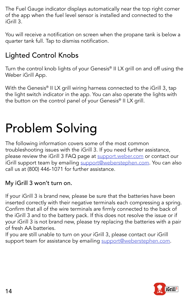The Fuel Gauge indicator displays automatically near the top right corner of the app when the fuel level sensor is installed and connected to the iGrill 3*.*

You will receive a notification on screen when the propane tank is below a quarter tank full. Tap to dismiss notification.

# Lighted Control Knobs

Turn the control knob lights of your Genesis® II LX grill on and off using the Weber iGrill App.

With the Genesis<sup>®</sup> II LX grill wiring harness connected to the iGrill 3, tap the light switch indicator in the app. You can also operate the lights with the button on the control panel of your Genesis<sup>®</sup> II LX grill.

# Problem Solving

The following information covers some of the most common troubleshooting issues with the iGrill 3. If you need further assistance, please review the iGrill 3 FAQ page at support.weber.com or contact our iGrill support team by emailing support@weberstephen.com. You can also call us at (800) 446-1071 for further assistance.

## My iGrill 3 won't turn on.

If your iGrill 3 is brand new, please be sure that the batteries have been inserted correctly with their negative terminals each compressing a spring. Confirm that all of the wire terminals are firmly connected to the back of the iGrill 3 and to the battery pack. If this does not resolve the issue or if your iGrill 3 is not brand new, please try replacing the batteries with a pair of fresh AA batteries.

If you are still unable to turn on your iGrill 3, please contact our iGrill support team for assistance by emailing support@weberstephen.com.

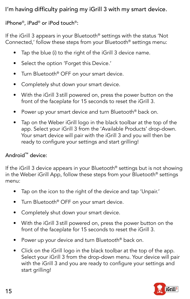## I'm having difficulty pairing my iGrill 3 with my smart device.

### iPhone®, iPad® or iPod touch®:

If the iGrill 3 appears in your Bluetooth® settings with the status 'Not Connected,' follow these steps from your Bluetooth® settings menu:

- Tap the blue (i) to the right of the iGrill 3 device name.
- Select the option 'Forget this Device.'
- Turn Bluetooth<sup>®</sup> OFF on your smart device.
- Completely shut down your smart device.
- With the iGrill 3 still powered on, press the power button on the front of the faceplate for 15 seconds to reset the iGrill 3.
- Power up your smart device and turn Bluetooth<sup>®</sup> back on.
- Tap on the Weber iGrill logo in the black toolbar at the top of the app. Select your iGrill 3 from the 'Available Products' drop-down. Your smart device will pair with the iGrill 3 and you will then be ready to configure your settings and start grilling!

### Android™ device:

If the iGrill 3 device appears in your Bluetooth® settings but is not showing in the Weber iGrill App, follow these steps from your Bluetooth® settings menu:

- Tap on the icon to the right of the device and tap 'Unpair.'
- Turn Bluetooth<sup>®</sup> OFF on your smart device.
- Completely shut down your smart device.
- With the iGrill 3 still powered on, press the power button on the front of the faceplate for 15 seconds to reset the iGrill 3.
- Power up your device and turn Bluetooth<sup>®</sup> back on.
- Click on the iGrill logo in the black toolbar at the top of the app. Select your iGrill 3 from the drop-down menu. Your device will pair with the iGrill 3 and you are ready to configure your settings and start grilling!

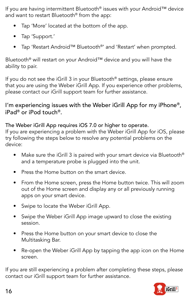If you are having intermittent Bluetooth® issues with your Android™ device and want to restart Bluetooth® from the app:

- Tap 'More' located at the bottom of the app.
- Tap 'Support.'
- Tap 'Restart Android™ Bluetooth®' and 'Restart' when prompted.

Bluetooth® will restart on your Android™ device and you will have the ability to pair.

If you do not see the iGrill 3 in your Bluetooth® settings, please ensure that you are using the Weber iGrill App. If you experience other problems, please contact our iGrill support team for further assistance.

I'm experiencing issues with the Weber iGrill App for my iPhone®, iPad® or iPod touch®.

The Weber iGrill App requires iOS 7.0 or higher to operate.

If you are experiencing a problem with the Weber iGrill App for iOS, please try following the steps below to resolve any potential problems on the device:

- Make sure the iGrill 3 is paired with your smart device via Bluetooth<sup>®</sup> and a temperature probe is plugged into the unit.
- Press the Home button on the smart device.
- From the Home screen, press the Home button twice. This will zoom out of the Home screen and display any or all previously running apps on your smart device.
- Swipe to locate the Weber iGrill App.
- Swipe the Weber iGrill App image upward to close the existing session.
- Press the Home button on your smart device to close the Multitasking Bar.
- Re-open the Weber iGrill App by tapping the app icon on the Home screen.

If you are still experiencing a problem after completing these steps, please contact our iGrill support team for further assistance.

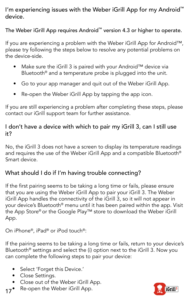## I'm experiencing issues with the Weber iGrill App for my Android™ device.

The Weber iGrill App requires Android™ version 4.3 or higher to operate.

If you are experiencing a problem with the Weber iGrill App for Android™, please try following the steps below to resolve any potential problems on the device-side.

- Make sure the iGrill 3 is paired with your Android™ device via Bluetooth® and a temperature probe is plugged into the unit.
- Go to your app manager and quit out of the Weber iGrill App.
- Re-open the Weber iGrill App by tapping the app icon.

If you are still experiencing a problem after completing these steps, please contact our iGrill support team for further assistance.

### I don't have a device with which to pair my iGrill 3, can I still use it?

No, the iGrill 3 does not have a screen to display its temperature readings and requires the use of the Weber iGrill App and a compatible Bluetooth® Smart device.

## What should I do if I'm having trouble connecting?

If the first pairing seems to be taking a long time or fails, please ensure that you are using the Weber iGrill App to pair your iGrill 3. The Weber iGrill App handles the connectivity of the iGrill 3, so it will not appear in your device's Bluetooth® menu until it has been paired within the app. Visit the App Store® or the Google Play™ store to download the Weber iGrill App.

On iPhone®, iPad® or iPod touch®:

If the pairing seems to be taking a long time or fails, return to your device's Bluetooth® settings and select the (i) option next to the iGrill 3. Now you can complete the following steps to pair your device:

- Select 'Forget this Device.'
- Close Settings.
- Close out of the Weber iGrill App.
- 17<sup>•</sup> Re-open the Weber iGrill App.

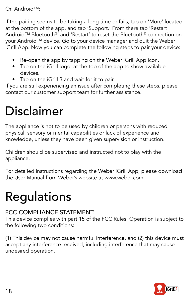#### On Android™:

If the pairing seems to be taking a long time or fails, tap on 'More' located at the bottom of the app, and tap 'Support.' From there tap 'Restart Android™ Bluetooth®' and 'Restart' to reset the Bluetooth® connection on your Android™ device. Go to your device manager and quit the Weber iGrill App. Now you can complete the following steps to pair your device:

- Re-open the app by tapping on the Weber iGrill App icon.
- Tap on the iGrill logo at the top of the app to show available devices.
- Tap on the iGrill 3 and wait for it to pair.

If you are still experiencing an issue after completing these steps, please contact our customer support team for further assistance.

# Disclaimer

The appliance is not to be used by children or persons with reduced physical, sensory or mental capabilities or lack of experience and knowledge, unless they have been given supervision or instruction.

Children should be supervised and instructed not to play with the appliance.

For detailed instructions regarding the Weber iGrill App, please download the User Manual from Weber's website at www.weber.com.

# Regulations

### FCC COMPLIANCE STATEMENT:

This device complies with part 15 of the FCC Rules. Operation is subject to the following two conditions:

(1) This device may not cause harmful interference, and (2) this device must accept any interference received, including interference that may cause undesired operation.